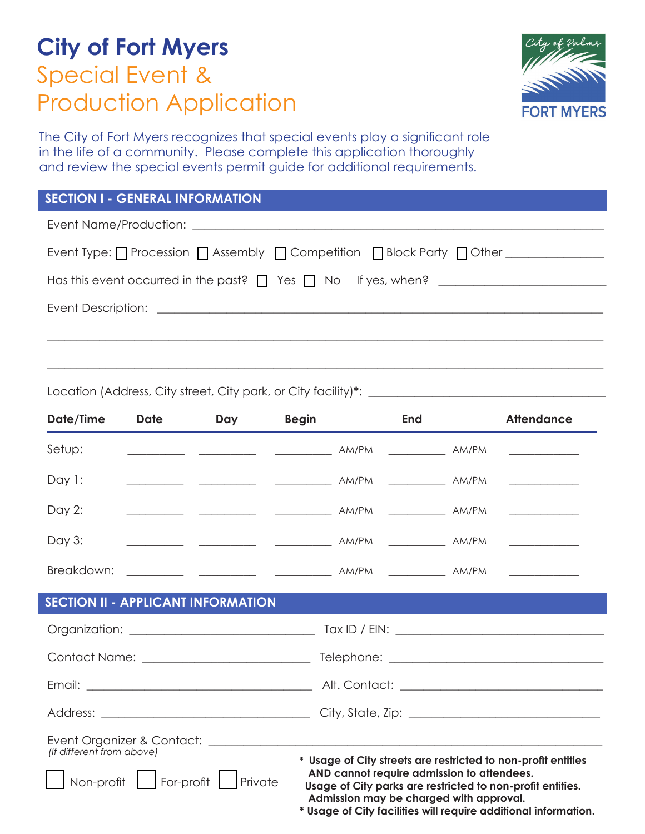# **City of Fort Myers**  Special Event & Production Application



The City of Fort Myers recognizes that special events play a significant role in the life of a community. Please complete this application thoroughly and review the special events permit guide for additional requirements.

## **SECTION I - GENERAL INFORMATION**

Event Name/Production: \_

| Has this event occurred in the past? $\Box$ Yes $\Box$ No If yes, when? |
|-------------------------------------------------------------------------|
| Event Description: <u>____________________</u>                          |
|                                                                         |

\_\_\_\_\_\_\_\_\_\_\_\_\_\_\_\_\_\_\_\_\_\_\_\_\_\_\_\_\_\_\_\_\_\_\_\_\_\_\_\_\_\_\_\_\_\_\_\_\_\_\_\_\_\_\_\_\_\_\_\_\_\_\_\_\_\_\_\_\_\_\_\_\_\_\_\_\_\_\_\_\_\_\_\_\_\_\_\_\_\_\_\_\_\_\_\_

Location (Address, City street, City park, or City facility)\*: \_\_\_\_\_\_\_\_\_\_\_\_\_\_\_\_\_\_

| Date/Time | <b>Date</b> | Day                                       | <b>Begin</b> | End | <b>Attendance</b> |
|-----------|-------------|-------------------------------------------|--------------|-----|-------------------|
| Setup:    |             |                                           |              |     |                   |
| Day 1:    |             |                                           |              |     |                   |
| Day 2:    |             |                                           |              |     |                   |
| Day 3:    |             |                                           |              |     |                   |
|           |             |                                           |              |     |                   |
|           |             | <b>SECTION II - APPLICANT INFORMATION</b> |              |     |                   |
|           |             |                                           |              |     |                   |
|           |             |                                           |              |     |                   |
|           |             |                                           |              |     |                   |
|           |             |                                           |              |     |                   |

| Event Organizer & Contact: |                                                               |
|----------------------------|---------------------------------------------------------------|
| (If different from above)  | * Usage of City streets are restricted to non-profit entities |

|                               | * Usage of City streets are restricted to non-profit entities |
|-------------------------------|---------------------------------------------------------------|
|                               | AND cannot require admission to attendees.                    |
| Non-profit Sor-profit Private | Usage of City parks are restricted to non-profit entities.    |
|                               |                                                               |

 **Admission may be charged with approval. \* Usage of City facilities will require additional information.**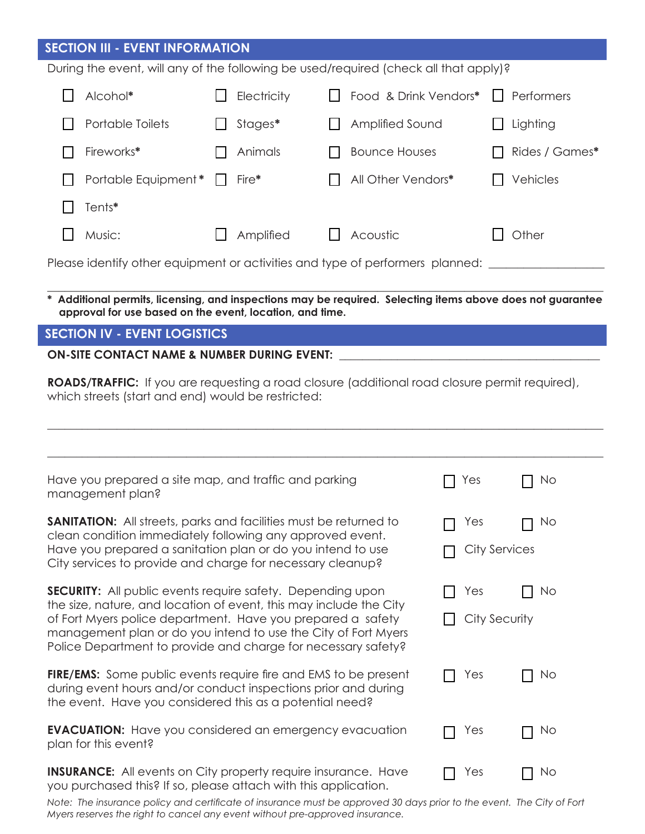## **SECTION III - EVENT INFORMATION**

During the event, will any of the following be used/required (check all that apply)?

|  | Alcohol*                     | Electricity | □ Food & Drink Vendors* □ Performers |         |                |
|--|------------------------------|-------------|--------------------------------------|---------|----------------|
|  | Portable Toilets             | Stages*     | <b>Amplified Sound</b>               |         | Lighting       |
|  | Fireworks*                   | Animals     | <b>Bounce Houses</b>                 | $\perp$ | Rides / Games* |
|  | Portable Equipment * □ Fire* |             | All Other Vendors*                   |         | Vehicles       |
|  | Tents*                       |             |                                      |         |                |
|  | Music:                       | Amplified   | $\Box$ Acoustic                      |         | Other          |
|  |                              |             |                                      |         |                |

Please identify other equipment or activities and type of performers planned:

 **\* Additional permits, licensing, and inspections may be required. Selecting items above does not guarantee**  \_\_\_\_\_\_\_\_\_\_\_\_\_\_\_\_\_\_\_\_\_\_\_\_\_\_\_\_\_\_\_\_\_\_\_\_\_\_\_\_\_\_\_\_\_\_\_\_\_\_\_\_\_\_\_\_\_\_\_\_\_\_\_\_\_\_\_\_\_\_\_\_\_\_\_\_\_\_\_\_\_\_\_\_\_\_\_\_\_\_\_\_\_\_\_\_ **approval for use based on the event, location, and time.** 

## **SECTION IV - EVENT LOGISTICS**

ON-SITE CONTACT NAME & NUMBER DURING EVENT:

**ROADS/TRAFFIC:** If you are requesting a road closure (additional road closure permit required), which streets (start and end) would be restricted:

| Have you prepared a site map, and traffic and parking<br>management plan?                                                                                                                            | Yes                  | No |  |
|------------------------------------------------------------------------------------------------------------------------------------------------------------------------------------------------------|----------------------|----|--|
| <b>SANITATION:</b> All streets, parks and facilities must be returned to<br>clean condition immediately following any approved event.                                                                | Yes                  | No |  |
| Have you prepared a sanitation plan or do you intend to use<br>City services to provide and charge for necessary cleanup?                                                                            | <b>City Services</b> |    |  |
| <b>SECURITY:</b> All public events require safety. Depending upon<br>the size, nature, and location of event, this may include the City                                                              | Yes                  | No |  |
| of Fort Myers police department. Have you prepared a safety<br>management plan or do you intend to use the City of Fort Myers<br>Police Department to provide and charge for necessary safety?       | City Security        |    |  |
| <b>FIRE/EMS:</b> Some public events require fire and EMS to be present<br>during event hours and/or conduct inspections prior and during<br>the event. Have you considered this as a potential need? | Yes                  | No |  |
| <b>EVACUATION:</b> Have you considered an emergency evacuation<br>plan for this event?                                                                                                               | Yes                  | No |  |
| <b>INSURANCE:</b> All events on City property require insurance. Have<br>you purchased this? If so, please attach with this application.                                                             | Yes                  | No |  |

Note: The insurance policy and certificate of insurance must be approved 30 days prior to the event. The City of Fort *Myers reserves the right to cancel any event without pre-approved insurance.*